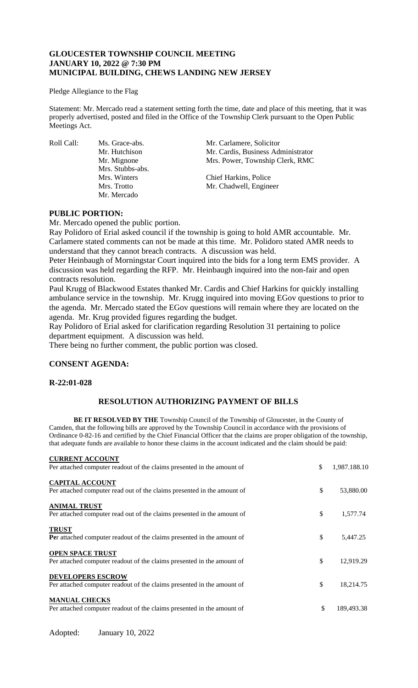# **GLOUCESTER TOWNSHIP COUNCIL MEETING JANUARY 10, 2022 @ 7:30 PM MUNICIPAL BUILDING, CHEWS LANDING NEW JERSEY**

#### Pledge Allegiance to the Flag

Statement: Mr. Mercado read a statement setting forth the time, date and place of this meeting, that it was properly advertised, posted and filed in the Office of the Township Clerk pursuant to the Open Public Meetings Act.

Mrs. Stubbs-abs. Mr. Mercado

Roll Call: Ms. Grace-abs. Mr. Carlamere, Solicitor<br>Mr. Hutchison Mr. Cardis, Business Adı Mr. Cardis, Business Administrator Mr. Mignone Mrs. Power, Township Clerk, RMC

> Mrs. Winters Chief Harkins, Police Mrs. Trotto Mr. Chadwell, Engineer

### **PUBLIC PORTION:**

Mr. Mercado opened the public portion.

Ray Polidoro of Erial asked council if the township is going to hold AMR accountable. Mr. Carlamere stated comments can not be made at this time. Mr. Polidoro stated AMR needs to understand that they cannot breach contracts. A discussion was held.

Peter Heinbaugh of Morningstar Court inquired into the bids for a long term EMS provider. A discussion was held regarding the RFP. Mr. Heinbaugh inquired into the non-fair and open contracts resolution.

Paul Krugg of Blackwood Estates thanked Mr. Cardis and Chief Harkins for quickly installing ambulance service in the township. Mr. Krugg inquired into moving EGov questions to prior to the agenda. Mr. Mercado stated the EGov questions will remain where they are located on the agenda. Mr. Krug provided figures regarding the budget.

Ray Polidoro of Erial asked for clarification regarding Resolution 31 pertaining to police department equipment. A discussion was held.

There being no further comment, the public portion was closed.

# **CONSENT AGENDA:**

#### **R-22:01-028**

# **RESOLUTION AUTHORIZING PAYMENT OF BILLS**

**BE IT RESOLVED BY THE** Township Council of the Township of Gloucester, in the County of Camden, that the following bills are approved by the Township Council in accordance with the provisions of Ordinance 0-82-16 and certified by the Chief Financial Officer that the claims are proper obligation of the township, that adequate funds are available to honor these claims in the account indicated and the claim should be paid:

| <b>CURRENT ACCOUNT</b><br>Per attached computer readout of the claims presented in the amount of   | \$<br>1,987.188.10 |
|----------------------------------------------------------------------------------------------------|--------------------|
| <b>CAPITAL ACCOUNT</b><br>Per attached computer read out of the claims presented in the amount of  | \$<br>53,880.00    |
| <b>ANIMAL TRUST</b><br>Per attached computer read out of the claims presented in the amount of     | \$<br>1,577.74     |
| <b>TRUST</b><br>Per attached computer readout of the claims presented in the amount of             | \$<br>5,447.25     |
| <b>OPEN SPACE TRUST</b><br>Per attached computer readout of the claims presented in the amount of  | \$<br>12,919.29    |
| <b>DEVELOPERS ESCROW</b><br>Per attached computer readout of the claims presented in the amount of | \$<br>18,214.75    |
| <b>MANUAL CHECKS</b><br>Per attached computer readout of the claims presented in the amount of     | \$<br>189,493.38   |

Adopted: January 10, 2022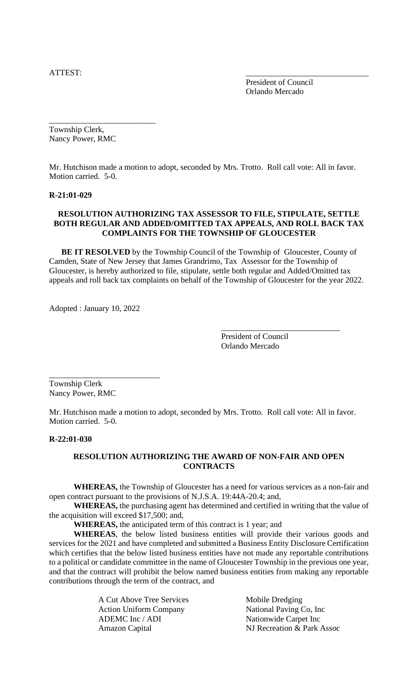ATTEST:

President of Council Orlando Mercado

Township Clerk, Nancy Power, RMC

\_\_\_\_\_\_\_\_\_\_\_\_\_\_\_\_\_\_\_\_\_\_\_\_\_\_

Mr. Hutchison made a motion to adopt, seconded by Mrs. Trotto. Roll call vote: All in favor. Motion carried. 5-0.

### **R-21:01-029**

# **RESOLUTION AUTHORIZING TAX ASSESSOR TO FILE, STIPULATE, SETTLE BOTH REGULAR AND ADDED/OMITTED TAX APPEALS, AND ROLL BACK TAX COMPLAINTS FOR THE TOWNSHIP OF GLOUCESTER**

**BE IT RESOLVED** by the Township Council of the Township of Gloucester, County of Camden, State of New Jersey that James Grandrimo, Tax Assessor for the Township of Gloucester, is hereby authorized to file, stipulate, settle both regular and Added/Omitted tax appeals and roll back tax complaints on behalf of the Township of Gloucester for the year 2022.

Adopted : January 10, 2022

\_\_\_\_\_\_\_\_\_\_\_\_\_\_\_\_\_\_\_\_\_\_\_\_\_\_\_

President of Council Orlando Mercado

\_\_\_\_\_\_\_\_\_\_\_\_\_\_\_\_\_\_\_\_\_\_\_\_\_\_\_\_\_

Township Clerk Nancy Power, RMC

Mr. Hutchison made a motion to adopt, seconded by Mrs. Trotto. Roll call vote: All in favor. Motion carried. 5-0.

### **R-22:01-030**

# **RESOLUTION AUTHORIZING THE AWARD OF NON-FAIR AND OPEN CONTRACTS**

**WHEREAS,** the Township of Gloucester has a need for various services as a non-fair and open contract pursuant to the provisions of N.J.S.A. 19:44A-20.4; and,

**WHEREAS,** the purchasing agent has determined and certified in writing that the value of the acquisition will exceed \$17,500; and,

**WHEREAS,** the anticipated term of this contract is 1 year; and

**WHEREAS**, the below listed business entities will provide their various goods and services for the 2021 and have completed and submitted a Business Entity Disclosure Certification which certifies that the below listed business entities have not made any reportable contributions to a political or candidate committee in the name of Gloucester Township in the previous one year, and that the contract will prohibit the below named business entities from making any reportable contributions through the term of the contract, and

| A Cut Above Tree Services     | Mobile Dredging            |
|-------------------------------|----------------------------|
| <b>Action Uniform Company</b> | National Paving Co, Inc.   |
| ADEMC Inc / ADI               | Nationwide Carpet Inc      |
| Amazon Capital                | NJ Recreation & Park Assoc |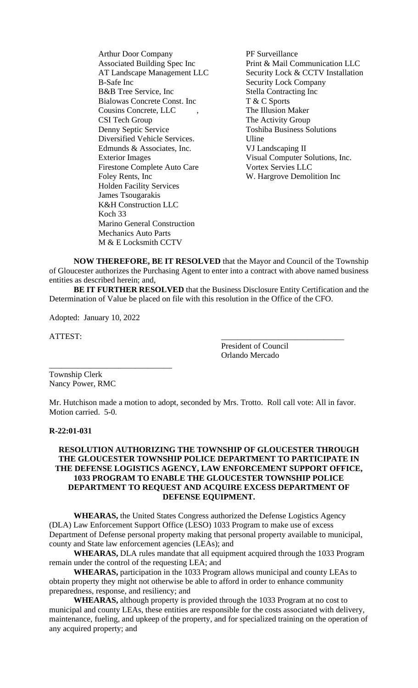Arthur Door Company<br>
Associated Building Spec Inc Print & Mail Co B-Safe Inc Security Lock Company B&B Tree Service, Inc Stella Contracting Inc Bialowas Concrete Const. Inc T & C Sports Cousins Concrete, LLC , The Illusion Maker CSI Tech Group The Activity Group Denny Septic Service Toshiba Business Solutions Diversified Vehicle Services. Uline Edmunds & Associates, Inc. VJ Landscaping II Exterior Images Visual Computer Solutions, Inc. Firestone Complete Auto Care Vortex Servies LLC Foley Rents, Inc W. Hargrove Demolition Inc Holden Facility Services James Tsougarakis K&H Construction LLC Koch 33 Marino General Construction Mechanics Auto Parts M & E Locksmith CCTV

Print & Mail Communication LLC AT Landscape Management LLC Security Lock & CCTV Installation

**NOW THEREFORE, BE IT RESOLVED** that the Mayor and Council of the Township of Gloucester authorizes the Purchasing Agent to enter into a contract with above named business entities as described herein; and,

**BE IT FURTHER RESOLVED** that the Business Disclosure Entity Certification and the Determination of Value be placed on file with this resolution in the Office of the CFO.

Adopted: January 10, 2022

\_\_\_\_\_\_\_\_\_\_\_\_\_\_\_\_\_\_\_\_\_\_\_\_\_\_\_\_\_\_

ATTEST:

President of Council Orlando Mercado

Township Clerk Nancy Power, RMC

Mr. Hutchison made a motion to adopt, seconded by Mrs. Trotto. Roll call vote: All in favor. Motion carried. 5-0.

### **R-22:01-031**

## **RESOLUTION AUTHORIZING THE TOWNSHIP OF GLOUCESTER THROUGH THE GLOUCESTER TOWNSHIP POLICE DEPARTMENT TO PARTICIPATE IN THE DEFENSE LOGISTICS AGENCY, LAW ENFORCEMENT SUPPORT OFFICE, 1033 PROGRAM TO ENABLE THE GLOUCESTER TOWNSHIP POLICE DEPARTMENT TO REQUEST AND ACQUIRE EXCESS DEPARTMENT OF DEFENSE EQUIPMENT.**

**WHEARAS,** the United States Congress authorized the Defense Logistics Agency (DLA) Law Enforcement Support Office (LESO) 1033 Program to make use of excess Department of Defense personal property making that personal property available to municipal, county and State law enforcement agencies (LEAs); and

**WHEARAS,** DLA rules mandate that all equipment acquired through the 1033 Program remain under the control of the requesting LEA; and

**WHEARAS,** participation in the 1033 Program allows municipal and county LEAs to obtain property they might not otherwise be able to afford in order to enhance community preparedness, response, and resiliency; and

**WHEARAS,** although property is provided through the 1033 Program at no cost to municipal and county LEAs, these entities are responsible for the costs associated with delivery, maintenance, fueling, and upkeep of the property, and for specialized training on the operation of any acquired property; and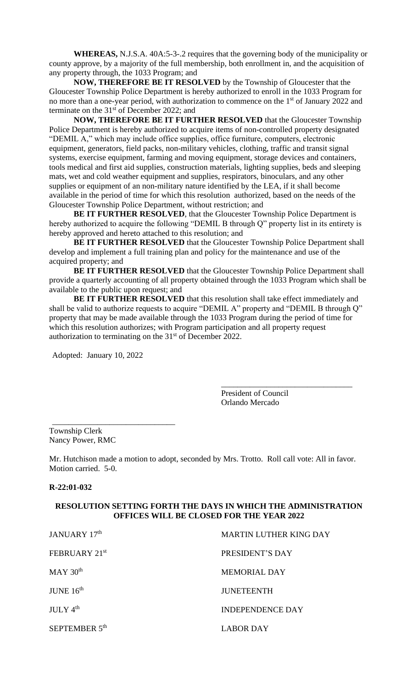**WHEREAS,** N.J.S.A. 40A:5-3-.2 requires that the governing body of the municipality or county approve, by a majority of the full membership, both enrollment in, and the acquisition of any property through, the 1033 Program; and

**NOW, THEREFORE BE IT RESOLVED** by the Township of Gloucester that the Gloucester Township Police Department is hereby authorized to enroll in the 1033 Program for no more than a one-year period, with authorization to commence on the 1<sup>st</sup> of January 2022 and terminate on the  $31<sup>st</sup>$  of December 2022; and

**NOW, THEREFORE BE IT FURTHER RESOLVED** that the Gloucester Township Police Department is hereby authorized to acquire items of non-controlled property designated "DEMIL A," which may include office supplies, office furniture, computers, electronic equipment, generators, field packs, non-military vehicles, clothing, traffic and transit signal systems, exercise equipment, farming and moving equipment, storage devices and containers, tools medical and first aid supplies, construction materials, lighting supplies, beds and sleeping mats, wet and cold weather equipment and supplies, respirators, binoculars, and any other supplies or equipment of an non-military nature identified by the LEA, if it shall become available in the period of time for which this resolution authorized, based on the needs of the Gloucester Township Police Department, without restriction; and

**BE IT FURTHER RESOLVED**, that the Gloucester Township Police Department is hereby authorized to acquire the following "DEMIL B through Q" property list in its entirety is hereby approved and hereto attached to this resolution; and

**BE IT FURTHER RESOLVED** that the Gloucester Township Police Department shall develop and implement a full training plan and policy for the maintenance and use of the acquired property; and

**BE IT FURTHER RESOLVED** that the Gloucester Township Police Department shall provide a quarterly accounting of all property obtained through the 1033 Program which shall be available to the public upon request; and

**BE IT FURTHER RESOLVED** that this resolution shall take effect immediately and shall be valid to authorize requests to acquire "DEMIL A" property and "DEMIL B through Q" property that may be made available through the 1033 Program during the period of time for which this resolution authorizes; with Program participation and all property request authorization to terminating on the 31<sup>st</sup> of December 2022.

Adopted: January 10, 2022

\_\_\_\_\_\_\_\_\_\_\_\_\_\_\_\_\_\_\_\_\_\_\_\_\_\_\_\_\_\_

President of Council Orlando Mercado

\_\_\_\_\_\_\_\_\_\_\_\_\_\_\_\_\_\_\_\_\_\_\_\_\_\_\_\_\_\_\_\_

Township Clerk Nancy Power, RMC

Mr. Hutchison made a motion to adopt, seconded by Mrs. Trotto. Roll call vote: All in favor. Motion carried. 5-0.

#### **R-22:01-032**

# **RESOLUTION SETTING FORTH THE DAYS IN WHICH THE ADMINISTRATION OFFICES WILL BE CLOSED FOR THE YEAR 2022**

| JANUARY 17th              | <b>MARTIN LUTHER KING DAY</b> |
|---------------------------|-------------------------------|
| FEBRUARY 21st             | PRESIDENT'S DAY               |
| $MAY$ 30 <sup>th</sup>    | <b>MEMORIAL DAY</b>           |
| JUNE $16th$               | <b>JUNETEENTH</b>             |
| $JULY$ 4 <sup>th</sup>    | INDEPENDENCE DAY              |
| SEPTEMBER 5 <sup>th</sup> | <b>LABOR DAY</b>              |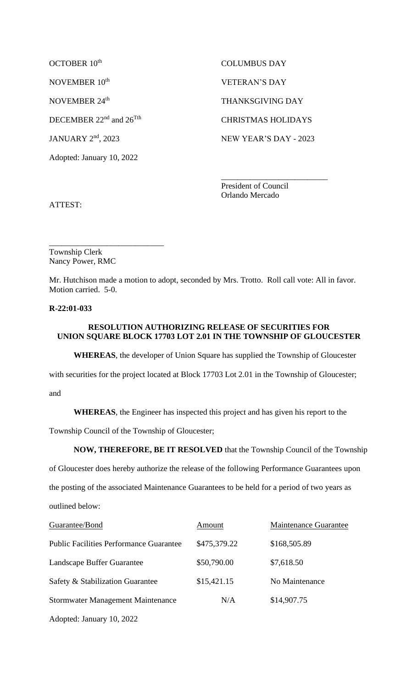OCTOBER 10<sup>th</sup> NOVEMBER 10<sup>th</sup> VETERAN'S DAY NOVEMBER 24<sup>th</sup>

Adopted: January 10, 2022

 COLUMBUS DAY THANKSGIVING DAY DECEMBER 22<sup>nd</sup> and 26<sup>Tth</sup> CHRISTMAS HOLIDAYS JANUARY 2<sup>nd</sup>, 2023 NEW YEAR'S DAY - 2023

> President of Council Orlando Mercado

\_\_\_\_\_\_\_\_\_\_\_\_\_\_\_\_\_\_\_\_\_\_\_\_\_\_

ATTEST:

\_\_\_\_\_\_\_\_\_\_\_\_\_\_\_\_\_\_\_\_\_\_\_\_\_\_\_\_ Township Clerk Nancy Power, RMC

Mr. Hutchison made a motion to adopt, seconded by Mrs. Trotto. Roll call vote: All in favor. Motion carried. 5-0.

# **R-22:01-033**

# **RESOLUTION AUTHORIZING RELEASE OF SECURITIES FOR UNION SQUARE BLOCK 17703 LOT 2.01 IN THE TOWNSHIP OF GLOUCESTER**

**WHEREAS**, the developer of Union Square has supplied the Township of Gloucester

with securities for the project located at Block 17703 Lot 2.01 in the Township of Gloucester;

and

**WHEREAS**, the Engineer has inspected this project and has given his report to the

Township Council of the Township of Gloucester;

**NOW, THEREFORE, BE IT RESOLVED** that the Township Council of the Township

of Gloucester does hereby authorize the release of the following Performance Guarantees upon

the posting of the associated Maintenance Guarantees to be held for a period of two years as

outlined below:

| Guarantee/Bond                                 | Amount       | <b>Maintenance Guarantee</b> |
|------------------------------------------------|--------------|------------------------------|
| <b>Public Facilities Performance Guarantee</b> | \$475,379.22 | \$168,505.89                 |
| Landscape Buffer Guarantee                     | \$50,790.00  | \$7,618.50                   |
| Safety & Stabilization Guarantee               | \$15,421.15  | No Maintenance               |
| Stormwater Management Maintenance              | N/A          | \$14,907.75                  |
| Adopted: January 10, 2022                      |              |                              |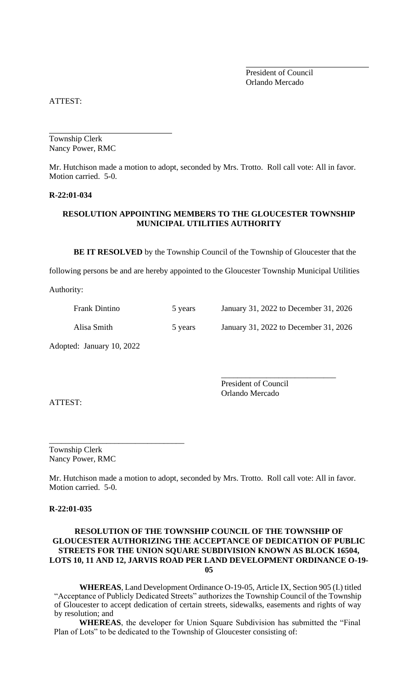President of Council Orlando Mercado

ATTEST:

Township Clerk Nancy Power, RMC

Mr. Hutchison made a motion to adopt, seconded by Mrs. Trotto. Roll call vote: All in favor. Motion carried. 5-0.

#### **R-22:01-034**

# **RESOLUTION APPOINTING MEMBERS TO THE GLOUCESTER TOWNSHIP MUNICIPAL UTILITIES AUTHORITY**

**BE IT RESOLVED** by the Township Council of the Township of Gloucester that the

following persons be and are hereby appointed to the Gloucester Township Municipal Utilities

Authority:

| <b>Frank Dintino</b> | 5 years | January 31, 2022 to December 31, 2026 |
|----------------------|---------|---------------------------------------|
| Alisa Smith          | 5 years | January 31, 2022 to December 31, 2026 |

Adopted: January 10, 2022

ATTEST:

President of Council Orlando Mercado

\_\_\_\_\_\_\_\_\_\_\_\_\_\_\_\_\_\_\_\_\_\_\_\_\_\_\_\_

Township Clerk Nancy Power, RMC

\_\_\_\_\_\_\_\_\_\_\_\_\_\_\_\_\_\_\_\_\_\_\_\_\_\_\_\_\_\_\_\_\_

Mr. Hutchison made a motion to adopt, seconded by Mrs. Trotto. Roll call vote: All in favor. Motion carried. 5-0.

**R-22:01-035**

# **RESOLUTION OF THE TOWNSHIP COUNCIL OF THE TOWNSHIP OF GLOUCESTER AUTHORIZING THE ACCEPTANCE OF DEDICATION OF PUBLIC STREETS FOR THE UNION SQUARE SUBDIVISION KNOWN AS BLOCK 16504, LOTS 10, 11 AND 12, JARVIS ROAD PER LAND DEVELOPMENT ORDINANCE O-19- 05**

**WHEREAS**, Land Development Ordinance O-19-05, Article IX, Section 905 (I.) titled "Acceptance of Publicly Dedicated Streets" authorizes the Township Council of the Township of Gloucester to accept dedication of certain streets, sidewalks, easements and rights of way by resolution; and

**WHEREAS**, the developer for Union Square Subdivision has submitted the "Final Plan of Lots" to be dedicated to the Township of Gloucester consisting of: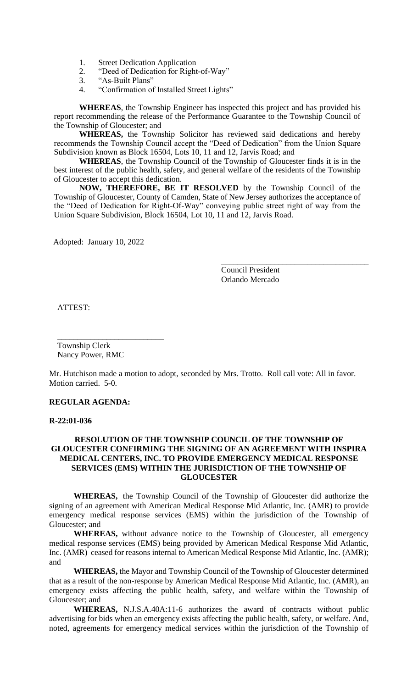- 1. Street Dedication Application
- 2. "Deed of Dedication for Right-of-Way"
- 3. "As-Built Plans"
- 4. "Confirmation of Installed Street Lights"

**WHEREAS**, the Township Engineer has inspected this project and has provided his report recommending the release of the Performance Guarantee to the Township Council of the Township of Gloucester; and

**WHEREAS,** the Township Solicitor has reviewed said dedications and hereby recommends the Township Council accept the "Deed of Dedication" from the Union Square Subdivision known as Block 16504, Lots 10, 11 and 12, Jarvis Road; and

**WHEREAS**, the Township Council of the Township of Gloucester finds it is in the best interest of the public health, safety, and general welfare of the residents of the Township of Gloucester to accept this dedication.

**NOW, THEREFORE, BE IT RESOLVED** by the Township Council of the Township of Gloucester, County of Camden, State of New Jersey authorizes the acceptance of the "Deed of Dedication for Right-Of-Way" conveying public street right of way from the Union Square Subdivision, Block 16504, Lot 10, 11 and 12, Jarvis Road.

Adopted: January 10, 2022

Council President Orlando Mercado

\_\_\_\_\_\_\_\_\_\_\_\_\_\_\_\_\_\_\_\_\_\_\_\_\_\_\_\_\_\_\_\_\_\_\_\_

ATTEST:

 Township Clerk Nancy Power, RMC

 $\overline{\phantom{a}}$  , which is a set of the set of the set of the set of the set of the set of the set of the set of the set of the set of the set of the set of the set of the set of the set of the set of the set of the set of th

Mr. Hutchison made a motion to adopt, seconded by Mrs. Trotto. Roll call vote: All in favor. Motion carried. 5-0.

### **REGULAR AGENDA:**

### **R-22:01-036**

### **RESOLUTION OF THE TOWNSHIP COUNCIL OF THE TOWNSHIP OF GLOUCESTER CONFIRMING THE SIGNING OF AN AGREEMENT WITH INSPIRA MEDICAL CENTERS, INC. TO PROVIDE EMERGENCY MEDICAL RESPONSE SERVICES (EMS) WITHIN THE JURISDICTION OF THE TOWNSHIP OF GLOUCESTER**

**WHEREAS,** the Township Council of the Township of Gloucester did authorize the signing of an agreement with American Medical Response Mid Atlantic, Inc. (AMR) to provide emergency medical response services (EMS) within the jurisdiction of the Township of Gloucester; and

**WHEREAS,** without advance notice to the Township of Gloucester, all emergency medical response services (EMS) being provided by American Medical Response Mid Atlantic, Inc. (AMR) ceased for reasons internal to American Medical Response Mid Atlantic, Inc. (AMR); and

**WHEREAS,** the Mayor and Township Council of the Township of Gloucester determined that as a result of the non-response by American Medical Response Mid Atlantic, Inc. (AMR), an emergency exists affecting the public health, safety, and welfare within the Township of Gloucester; and

**WHEREAS,** N.J.S.A.40A:11-6 authorizes the award of contracts without public advertising for bids when an emergency exists affecting the public health, safety, or welfare. And, noted, agreements for emergency medical services within the jurisdiction of the Township of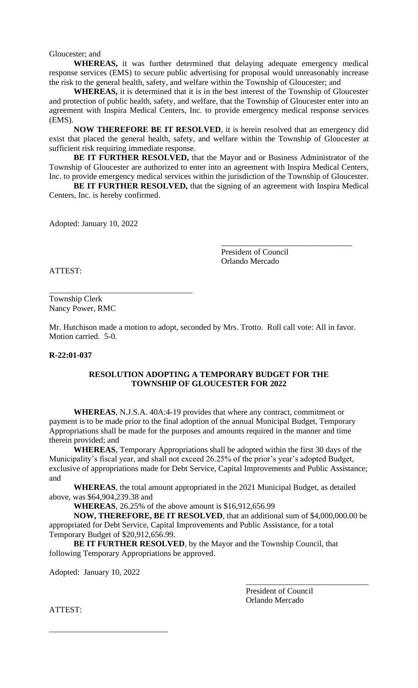Gloucester; and

**WHEREAS,** it was further determined that delaying adequate emergency medical response services (EMS) to secure public advertising for proposal would unreasonably increase the risk to the general health, safety, and welfare within the Township of Gloucester; and

**WHEREAS,** it is determined that it is in the best interest of the Township of Gloucester and protection of public health, safety, and welfare, that the Township of Gloucester enter into an agreement with Inspira Medical Centers, Inc. to provide emergency medical response services (EMS).

**NOW THEREFORE BE IT RESOLVED**, it is herein resolved that an emergency did exist that placed the general health, safety, and welfare within the Township of Gloucester at sufficient risk requiring immediate response.

**BE IT FURTHER RESOLVED,** that the Mayor and or Business Administrator of the Township of Gloucester are authorized to enter into an agreement with Inspira Medical Centers, Inc. to provide emergency medical services within the jurisdiction of the Township of Gloucester.

**BE IT FURTHER RESOLVED,** that the signing of an agreement with Inspira Medical Centers, Inc. is hereby confirmed.

Adopted: January 10, 2022

\_\_\_\_\_\_\_\_\_\_\_\_\_\_\_\_\_\_\_\_\_\_\_\_\_\_\_\_\_\_\_\_\_\_\_

President of Council Orlando Mercado

\_\_\_\_\_\_\_\_\_\_\_\_\_\_\_\_\_\_\_\_\_\_\_\_\_\_\_\_\_\_\_\_

ATTEST:

Township Clerk Nancy Power, RMC

Mr. Hutchison made a motion to adopt, seconded by Mrs. Trotto. Roll call vote: All in favor. Motion carried. 5-0.

#### **R-22:01-037**

# **RESOLUTION ADOPTING A TEMPORARY BUDGET FOR THE TOWNSHIP OF GLOUCESTER FOR 2022**

**WHEREAS**, N.J.S.A. 40A:4-19 provides that where any contract, commitment or payment is to be made prior to the final adoption of the annual Municipal Budget, Temporary Appropriations shall be made for the purposes and amounts required in the manner and time therein provided; and

**WHEREAS**, Temporary Appropriations shall be adopted within the first 30 days of the Municipality's fiscal year, and shall not exceed 26.25% of the prior's year's adopted Budget, exclusive of appropriations made for Debt Service, Capital Improvements and Public Assistance; and

**WHEREAS**, the total amount appropriated in the 2021 Municipal Budget, as detailed above, was \$64,904,239.38 and

**WHEREAS**, 26.25% of the above amount is \$16,912,656.99

**NOW, THEREFORE, BE IT RESOLVED**, that an additional sum of \$4,000,000.00 be appropriated for Debt Service, Capital Improvements and Public Assistance, for a total Temporary Budget of \$20,912,656.99.

**BE IT FURTHER RESOLVED**, by the Mayor and the Township Council, that following Temporary Appropriations be approved.

Adopted: January 10, 2022

\_\_\_\_\_\_\_\_\_\_\_\_\_\_\_\_\_\_\_\_\_\_\_\_\_\_\_\_\_

President of Council Orlando Mercado

\_\_\_\_\_\_\_\_\_\_\_\_\_\_\_\_\_\_\_\_\_\_\_\_\_\_\_\_\_\_

ATTEST: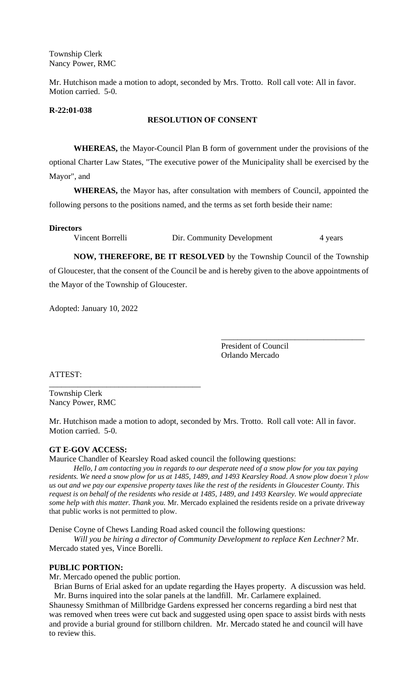Township Clerk Nancy Power, RMC

Mr. Hutchison made a motion to adopt, seconded by Mrs. Trotto. Roll call vote: All in favor. Motion carried. 5-0.

#### **R-22:01-038**

### **RESOLUTION OF CONSENT**

**WHEREAS,** the Mayor-Council Plan B form of government under the provisions of the optional Charter Law States, "The executive power of the Municipality shall be exercised by the Mayor", and

**WHEREAS,** the Mayor has, after consultation with members of Council, appointed the following persons to the positions named, and the terms as set forth beside their name:

### **Directors**

the Mayor of the Township of Gloucester.

\_\_\_\_\_\_\_\_\_\_\_\_\_\_\_\_\_\_\_\_\_\_\_\_\_\_\_\_\_\_\_\_\_\_\_\_\_

Vincent Borrelli Dir. Community Development 4 years

**NOW, THEREFORE, BE IT RESOLVED** by the Township Council of the Township of Gloucester, that the consent of the Council be and is hereby given to the above appointments of

Adopted: January 10, 2022

President of Council Orlando Mercado

\_\_\_\_\_\_\_\_\_\_\_\_\_\_\_\_\_\_\_\_\_\_\_\_\_\_\_\_\_\_\_\_\_\_\_

ATTEST:

Township Clerk Nancy Power, RMC

Mr. Hutchison made a motion to adopt, seconded by Mrs. Trotto. Roll call vote: All in favor. Motion carried. 5-0.

### **GT E-GOV ACCESS:**

Maurice Chandler of Kearsley Road asked council the following questions:

*Hello, I am contacting you in regards to our desperate need of a snow plow for you tax paying residents. We need a snow plow for us at 1485, 1489, and 1493 Kearsley Road. A snow plow doesn't plow us out and we pay our expensive property taxes like the rest of the residents in Gloucester County. This request is on behalf of the residents who reside at 1485, 1489, and 1493 Kearsley. We would appreciate some help with this matter. Thank you.* Mr. Mercado explained the residents reside on a private driveway that public works is not permitted to plow.

Denise Coyne of Chews Landing Road asked council the following questions:

*Will you be hiring a director of Community Development to replace Ken Lechner?* Mr. Mercado stated yes, Vince Borelli.

### **PUBLIC PORTION:**

Mr. Mercado opened the public portion.

Brian Burns of Erial asked for an update regarding the Hayes property. A discussion was held. Mr. Burns inquired into the solar panels at the landfill. Mr. Carlamere explained.

Shaunessy Smithman of Millbridge Gardens expressed her concerns regarding a bird nest that was removed when trees were cut back and suggested using open space to assist birds with nests and provide a burial ground for stillborn children. Mr. Mercado stated he and council will have to review this.